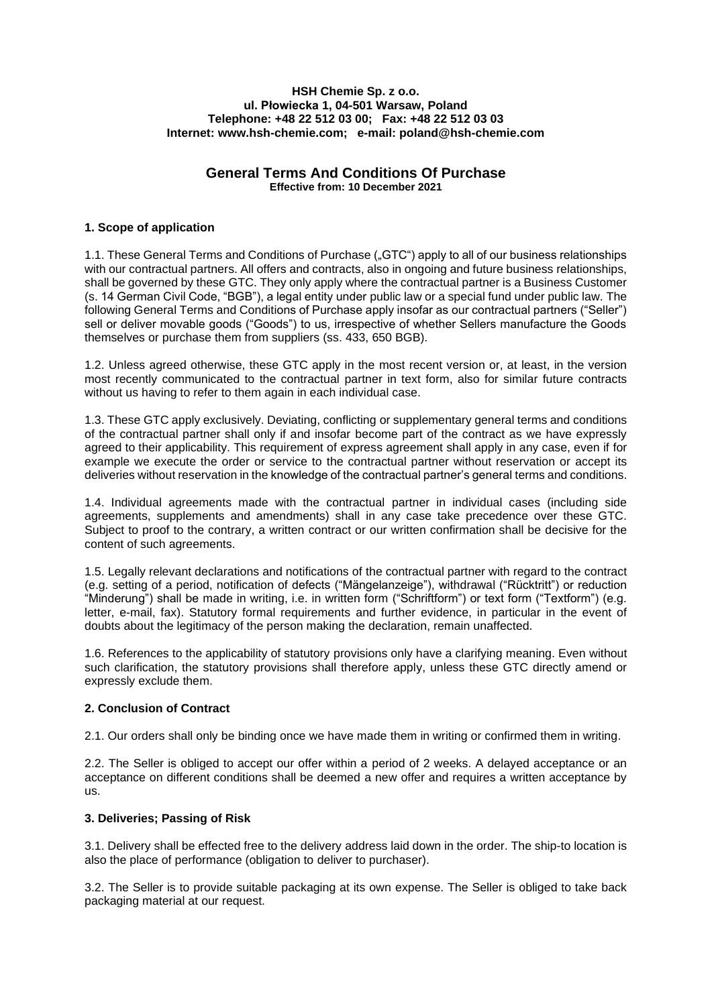#### **HSH Chemie Sp. z o.o. ul. Płowiecka 1, 04-501 Warsaw, Poland Telephone: +48 22 512 03 00; Fax: +48 22 512 03 03 Internet: www.hsh-chemie.com; e-mail: poland@hsh-chemie.com**

# **General Terms And Conditions Of Purchase**

**Effective from: 10 December 2021**

# **1. Scope of application**

1.1. These General Terms and Conditions of Purchase ("GTC") apply to all of our business relationships with our contractual partners. All offers and contracts, also in ongoing and future business relationships, shall be governed by these GTC. They only apply where the contractual partner is a Business Customer (s. 14 German Civil Code, "BGB"), a legal entity under public law or a special fund under public law. The following General Terms and Conditions of Purchase apply insofar as our contractual partners ("Seller") sell or deliver movable goods ("Goods") to us, irrespective of whether Sellers manufacture the Goods themselves or purchase them from suppliers (ss. 433, 650 BGB).

1.2. Unless agreed otherwise, these GTC apply in the most recent version or, at least, in the version most recently communicated to the contractual partner in text form, also for similar future contracts without us having to refer to them again in each individual case.

1.3. These GTC apply exclusively. Deviating, conflicting or supplementary general terms and conditions of the contractual partner shall only if and insofar become part of the contract as we have expressly agreed to their applicability. This requirement of express agreement shall apply in any case, even if for example we execute the order or service to the contractual partner without reservation or accept its deliveries without reservation in the knowledge of the contractual partner's general terms and conditions.

1.4. Individual agreements made with the contractual partner in individual cases (including side agreements, supplements and amendments) shall in any case take precedence over these GTC. Subject to proof to the contrary, a written contract or our written confirmation shall be decisive for the content of such agreements.

1.5. Legally relevant declarations and notifications of the contractual partner with regard to the contract (e.g. setting of a period, notification of defects ("Mängelanzeige"), withdrawal ("Rücktritt") or reduction "Minderung") shall be made in writing, i.e. in written form ("Schriftform") or text form ("Textform") (e.g. letter, e-mail, fax). Statutory formal requirements and further evidence, in particular in the event of doubts about the legitimacy of the person making the declaration, remain unaffected.

1.6. References to the applicability of statutory provisions only have a clarifying meaning. Even without such clarification, the statutory provisions shall therefore apply, unless these GTC directly amend or expressly exclude them.

# **2. Conclusion of Contract**

2.1. Our orders shall only be binding once we have made them in writing or confirmed them in writing.

2.2. The Seller is obliged to accept our offer within a period of 2 weeks. A delayed acceptance or an acceptance on different conditions shall be deemed a new offer and requires a written acceptance by us.

# **3. Deliveries; Passing of Risk**

3.1. Delivery shall be effected free to the delivery address laid down in the order. The ship-to location is also the place of performance (obligation to deliver to purchaser).

3.2. The Seller is to provide suitable packaging at its own expense. The Seller is obliged to take back packaging material at our request.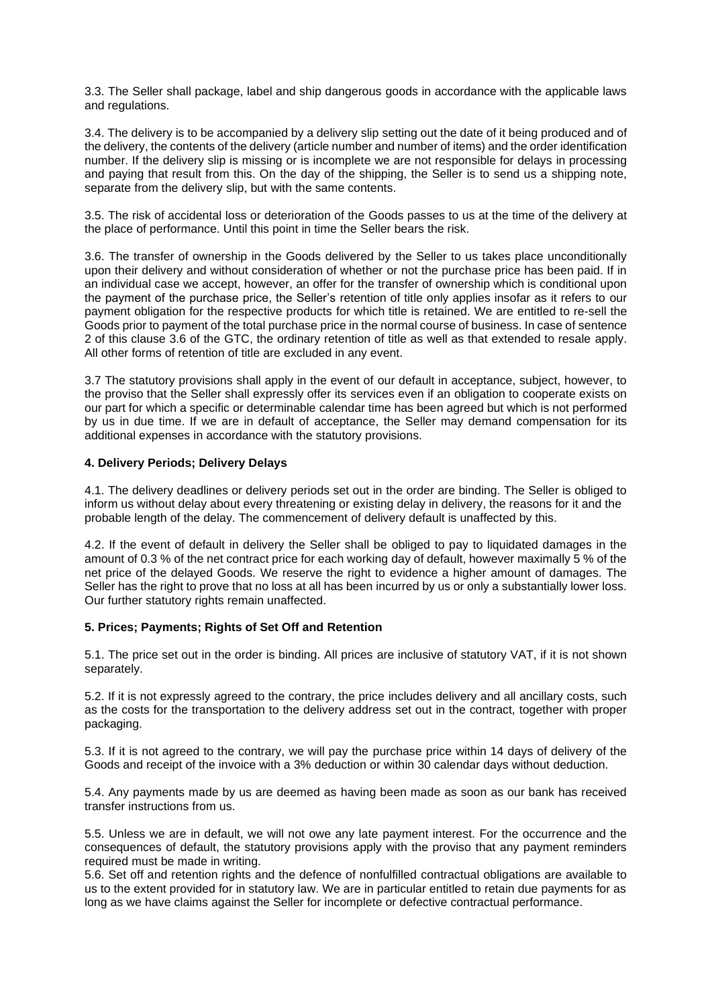3.3. The Seller shall package, label and ship dangerous goods in accordance with the applicable laws and regulations.

3.4. The delivery is to be accompanied by a delivery slip setting out the date of it being produced and of the delivery, the contents of the delivery (article number and number of items) and the order identification number. If the delivery slip is missing or is incomplete we are not responsible for delays in processing and paying that result from this. On the day of the shipping, the Seller is to send us a shipping note, separate from the delivery slip, but with the same contents.

3.5. The risk of accidental loss or deterioration of the Goods passes to us at the time of the delivery at the place of performance. Until this point in time the Seller bears the risk.

3.6. The transfer of ownership in the Goods delivered by the Seller to us takes place unconditionally upon their delivery and without consideration of whether or not the purchase price has been paid. If in an individual case we accept, however, an offer for the transfer of ownership which is conditional upon the payment of the purchase price, the Seller's retention of title only applies insofar as it refers to our payment obligation for the respective products for which title is retained. We are entitled to re-sell the Goods prior to payment of the total purchase price in the normal course of business. In case of sentence 2 of this clause 3.6 of the GTC, the ordinary retention of title as well as that extended to resale apply. All other forms of retention of title are excluded in any event.

3.7 The statutory provisions shall apply in the event of our default in acceptance, subject, however, to the proviso that the Seller shall expressly offer its services even if an obligation to cooperate exists on our part for which a specific or determinable calendar time has been agreed but which is not performed by us in due time. If we are in default of acceptance, the Seller may demand compensation for its additional expenses in accordance with the statutory provisions.

## **4. Delivery Periods; Delivery Delays**

4.1. The delivery deadlines or delivery periods set out in the order are binding. The Seller is obliged to inform us without delay about every threatening or existing delay in delivery, the reasons for it and the probable length of the delay. The commencement of delivery default is unaffected by this.

4.2. If the event of default in delivery the Seller shall be obliged to pay to liquidated damages in the amount of 0.3 % of the net contract price for each working day of default, however maximally 5 % of the net price of the delayed Goods. We reserve the right to evidence a higher amount of damages. The Seller has the right to prove that no loss at all has been incurred by us or only a substantially lower loss. Our further statutory rights remain unaffected.

## **5. Prices; Payments; Rights of Set Off and Retention**

5.1. The price set out in the order is binding. All prices are inclusive of statutory VAT, if it is not shown separately.

5.2. If it is not expressly agreed to the contrary, the price includes delivery and all ancillary costs, such as the costs for the transportation to the delivery address set out in the contract, together with proper packaging.

5.3. If it is not agreed to the contrary, we will pay the purchase price within 14 days of delivery of the Goods and receipt of the invoice with a 3% deduction or within 30 calendar days without deduction.

5.4. Any payments made by us are deemed as having been made as soon as our bank has received transfer instructions from us.

5.5. Unless we are in default, we will not owe any late payment interest. For the occurrence and the consequences of default, the statutory provisions apply with the proviso that any payment reminders required must be made in writing.

5.6. Set off and retention rights and the defence of nonfulfilled contractual obligations are available to us to the extent provided for in statutory law. We are in particular entitled to retain due payments for as long as we have claims against the Seller for incomplete or defective contractual performance.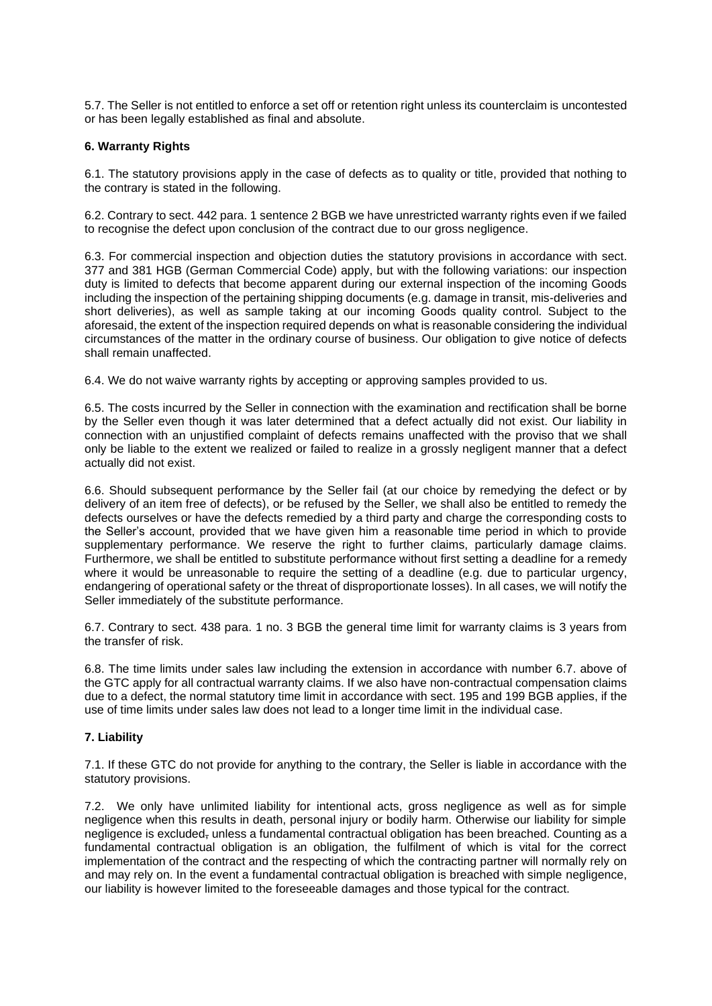5.7. The Seller is not entitled to enforce a set off or retention right unless its counterclaim is uncontested or has been legally established as final and absolute.

## **6. Warranty Rights**

6.1. The statutory provisions apply in the case of defects as to quality or title, provided that nothing to the contrary is stated in the following.

6.2. Contrary to sect. 442 para. 1 sentence 2 BGB we have unrestricted warranty rights even if we failed to recognise the defect upon conclusion of the contract due to our gross negligence.

6.3. For commercial inspection and objection duties the statutory provisions in accordance with sect. 377 and 381 HGB (German Commercial Code) apply, but with the following variations: our inspection duty is limited to defects that become apparent during our external inspection of the incoming Goods including the inspection of the pertaining shipping documents (e.g. damage in transit, mis-deliveries and short deliveries), as well as sample taking at our incoming Goods quality control. Subject to the aforesaid, the extent of the inspection required depends on what is reasonable considering the individual circumstances of the matter in the ordinary course of business. Our obligation to give notice of defects shall remain unaffected.

6.4. We do not waive warranty rights by accepting or approving samples provided to us.

6.5. The costs incurred by the Seller in connection with the examination and rectification shall be borne by the Seller even though it was later determined that a defect actually did not exist. Our liability in connection with an unjustified complaint of defects remains unaffected with the proviso that we shall only be liable to the extent we realized or failed to realize in a grossly negligent manner that a defect actually did not exist.

6.6. Should subsequent performance by the Seller fail (at our choice by remedying the defect or by delivery of an item free of defects), or be refused by the Seller, we shall also be entitled to remedy the defects ourselves or have the defects remedied by a third party and charge the corresponding costs to the Seller's account, provided that we have given him a reasonable time period in which to provide supplementary performance. We reserve the right to further claims, particularly damage claims. Furthermore, we shall be entitled to substitute performance without first setting a deadline for a remedy where it would be unreasonable to require the setting of a deadline (e.g. due to particular urgency, endangering of operational safety or the threat of disproportionate losses). In all cases, we will notify the Seller immediately of the substitute performance.

6.7. Contrary to sect. 438 para. 1 no. 3 BGB the general time limit for warranty claims is 3 years from the transfer of risk.

6.8. The time limits under sales law including the extension in accordance with number 6.7. above of the GTC apply for all contractual warranty claims. If we also have non-contractual compensation claims due to a defect, the normal statutory time limit in accordance with sect. 195 and 199 BGB applies, if the use of time limits under sales law does not lead to a longer time limit in the individual case.

# **7. Liability**

7.1. If these GTC do not provide for anything to the contrary, the Seller is liable in accordance with the statutory provisions.

7.2. We only have unlimited liability for intentional acts, gross negligence as well as for simple negligence when this results in death, personal injury or bodily harm. Otherwise our liability for simple negligence is excluded, unless a fundamental contractual obligation has been breached. Counting as a fundamental contractual obligation is an obligation, the fulfilment of which is vital for the correct implementation of the contract and the respecting of which the contracting partner will normally rely on and may rely on. In the event a fundamental contractual obligation is breached with simple negligence, our liability is however limited to the foreseeable damages and those typical for the contract.